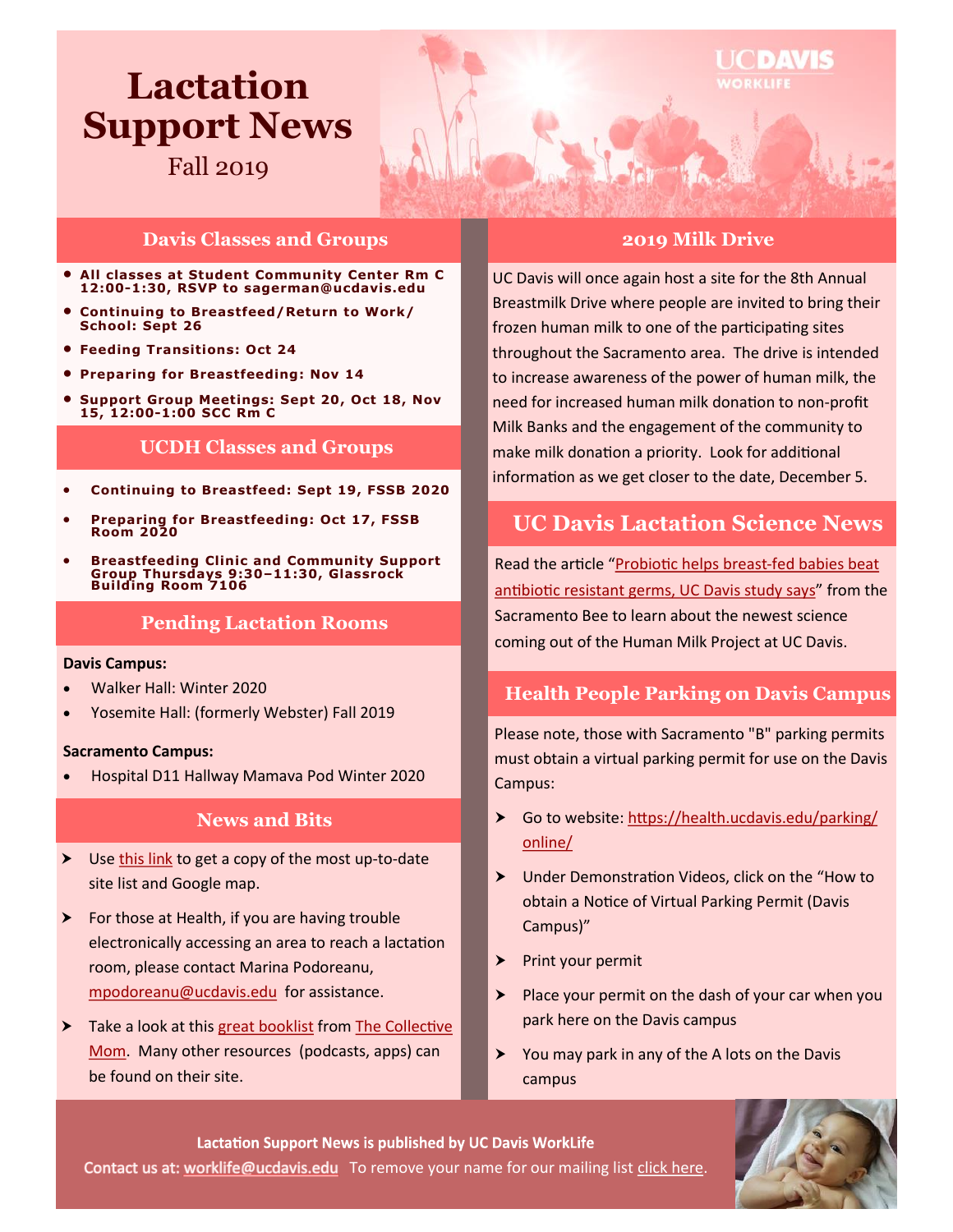# **Lactation Support News**

Fall 2019

## **Davis Classes and Groups**

- **All classes at Student Community Center Rm C 12:00-1:30, RSVP to sagerman@ucdavis.edu**
- **Continuing to Breastfeed/Return to Work/ School: Sept 26**
- **Feeding Transitions: Oct 24**
- **Preparing for Breastfeeding: Nov 14**
- **Support Group Meetings: Sept 20, Oct 18, Nov 15, 12:00-1:00 SCC Rm C**

## **UCDH Classes and Groups**

- **Continuing to Breastfeed: Sept 19, FSSB 2020**
- **Preparing for Breastfeeding: Oct 17, FSSB Room 2020**
- **Breastfeeding Clinic and Community Support Group Thursdays 9:30–11:30, Glassrock Building Room 7106**

## **Pending Lactation Rooms**

#### **Davis Campus:**

- Walker Hall: Winter 2020
- Yosemite Hall: (formerly Webster) Fall 2019

#### **Sacramento Campus:**

Hospital D11 Hallway Mamava Pod Winter 2020

## **News and Bits**

- Use [this link](https://hr.ucdavis.edu/departments/worklife-wellness/breastfeeding/register/thankyou) to get a copy of the most up-to-date site list and Google map.
- $\triangleright$  For those at Health, if you are having trouble electronically accessing an area to reach a lactation room, please contact Marina Podoreanu, [mpodoreanu@ucdavis.edu](mailto:mpodoreanu@ucdavis.edu) for assistance.
- Take a look at this [great booklist](https://www.onlinemomcollective.com/books) from The Collective [Mom.](https://www.onlinemomcollective.com/) Many other resources (podcasts, apps) can be found on their site.

#### **2019 Milk Drive**

UCDAVIS

UC Davis will once again host a site for the 8th Annual Breastmilk Drive where people are invited to bring their frozen human milk to one of the participating sites throughout the Sacramento area. The drive is intended to increase awareness of the power of human milk, the need for increased human milk donation to non-profit Milk Banks and the engagement of the community to make milk donation a priority. Look for additional information as we get closer to the date, December 5.

# **UC Davis Lactation Science News**

Read the article "[Probiotic helps breast](https://www.sacbee.com/news/local/health-and-medicine/article234205887.html)-fed babies beat [antibiotic resistant germs, UC Davis study says](https://www.sacbee.com/news/local/health-and-medicine/article234205887.html)" from the Sacramento Bee to learn about the newest science coming out of the Human Milk Project at UC Davis.

# **Health People Parking on Davis Campus**

Please note, those with Sacramento "B" parking permits must obtain a virtual parking permit for use on the Davis Campus:

- Go to website: [https://health.ucdavis.edu/parking/](https://health.ucdavis.edu/parking/online/) [online/](https://health.ucdavis.edu/parking/online/)
- Under Demonstration Videos, click on the "How to obtain a Notice of Virtual Parking Permit (Davis Campus)"
- $\blacktriangleright$  Print your permit
- $\triangleright$  Place your permit on the dash of your car when you park here on the Davis campus
- $\triangleright$  You may park in any of the A lots on the Davis campus

Lactation Support News is published by UC Davis WorkLife Contactus at: worklife@ucdavis.edu To remove your name for our mailing list [click here.](mailto:worklife@ucdavis.edu?subject=Remove%20from%20newsletter%20list)

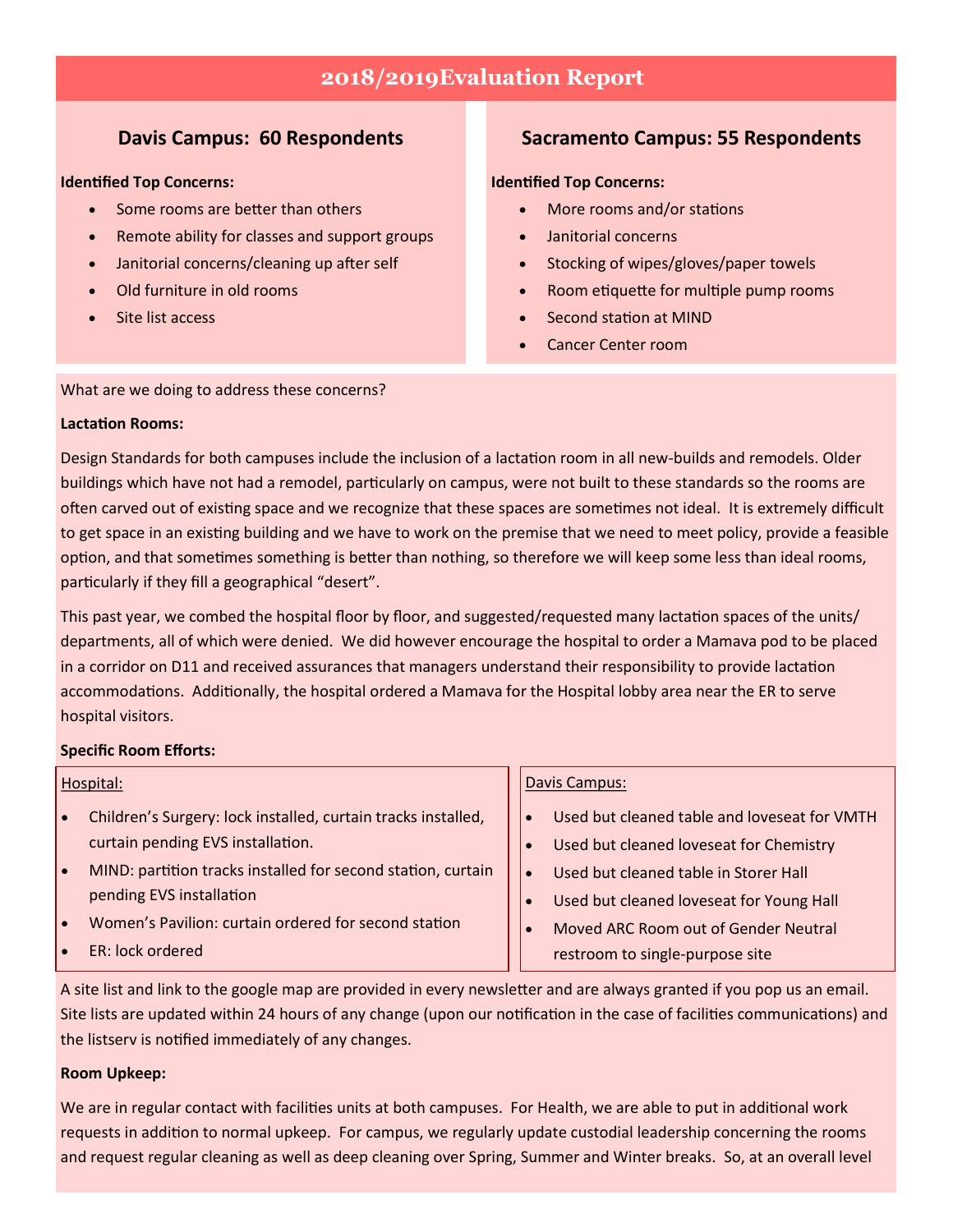# **2018/2019Evaluation Report**

## **Davis Campus: 60 Respondents**

#### **Identified Top Concerns:**

- Some rooms are better than others
- Remote ability for classes and support groups
- Janitorial concerns/cleaning up after self
- Old furniture in old rooms
- Site list access

# **Sacramento Campus: 55 Respondents**

#### **Identified Top Concerns:**

- More rooms and/or stations
- Janitorial concerns
- Stocking of wipes/gloves/paper towels
- Room etiquette for multiple pump rooms
- Second station at MIND
- Cancer Center room

#### What are we doing to address these concerns?

#### **Lactation Rooms:**

Design Standards for both campuses include the inclusion of a lactation room in all new-builds and remodels. Older buildings which have not had a remodel, particularly on campus, were not built to these standards so the rooms are often carved out of existing space and we recognize that these spaces are sometimes not ideal. It is extremely difficult to get space in an existing building and we have to work on the premise that we need to meet policy, provide a feasible option, and that sometimes something is better than nothing, so therefore we will keep some less than ideal rooms, particularly if they fill a geographical "desert".

This past year, we combed the hospital floor by floor, and suggested/requested many lactation spaces of the units/ departments, all of which were denied. We did however encourage the hospital to order a Mamava pod to be placed in a corridor on D11 and received assurances that managers understand their responsibility to provide lactation accommodations. Additionally, the hospital ordered a Mamava for the Hospital lobby area near the ER to serve hospital visitors.

#### **Specific Room Efforts:**

#### Hospital:

- Children's Surgery: lock installed, curtain tracks installed, curtain pending EVS installation.
- MIND: partition tracks installed for second station, curtain pending EVS installation
- Women's Pavilion: curtain ordered for second station
- ER: lock ordered

#### Davis Campus:

- Used but cleaned table and loveseat for VMTH
- Used but cleaned loveseat for Chemistry
- Used but cleaned table in Storer Hall
- Used but cleaned loveseat for Young Hall
- Moved ARC Room out of Gender Neutral restroom to single-purpose site

A site list and link to the google map are provided in every newsletter and are always granted if you pop us an email. Site lists are updated within 24 hours of any change (upon our notification in the case of facilities communications) and the listserv is notified immediately of any changes.

#### **Room Upkeep:**

We are in regular contact with facilities units at both campuses. For Health, we are able to put in additional work requests in addition to normal upkeep. For campus, we regularly update custodial leadership concerning the rooms and request regular cleaning as well as deep cleaning over Spring, Summer and Winter breaks. So, at an overall level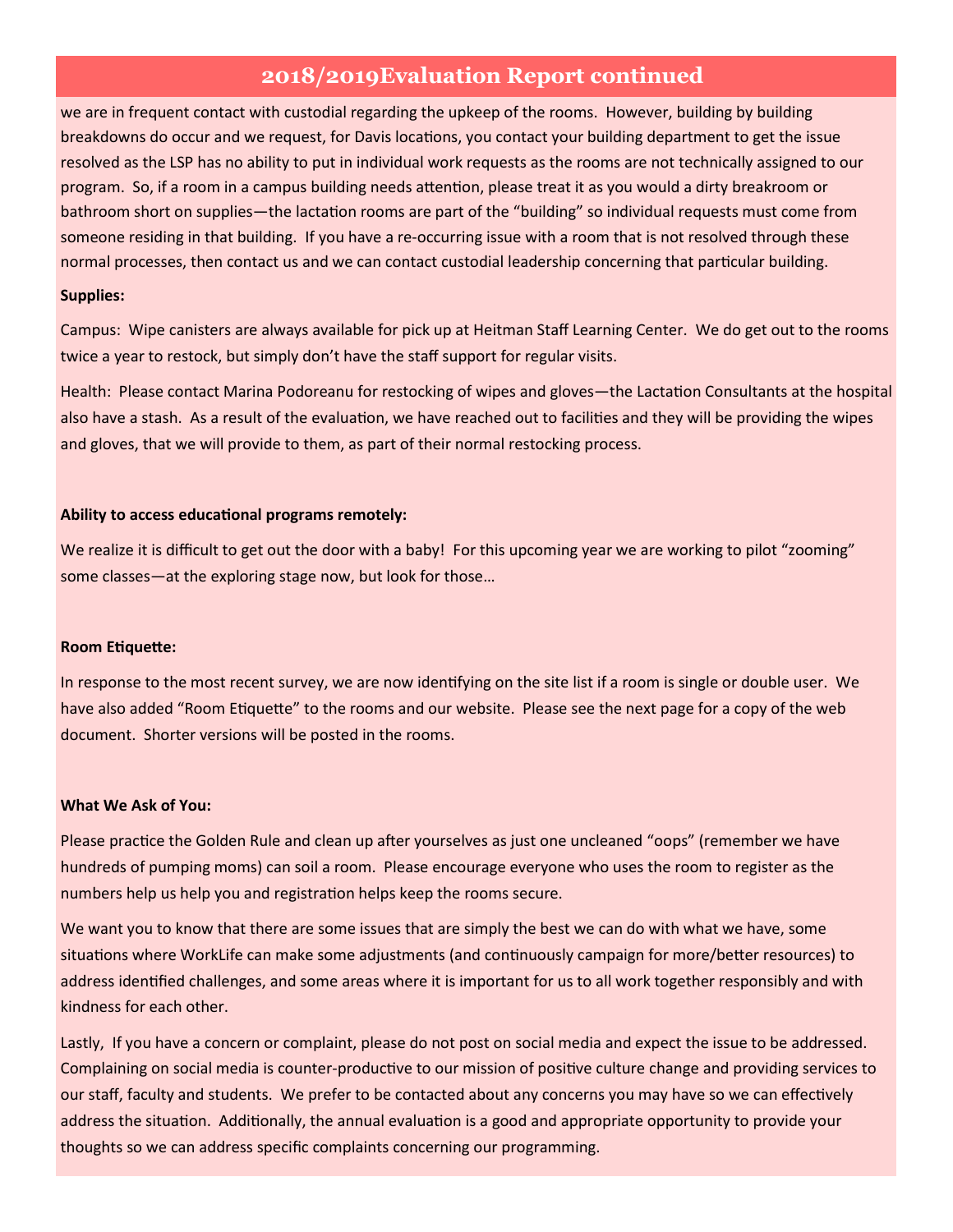# **2018/2019Evaluation Report continued**

we are in frequent contact with custodial regarding the upkeep of the rooms. However, building by building breakdowns do occur and we request, for Davis locations, you contact your building department to get the issue resolved as the LSP has no ability to put in individual work requests as the rooms are not technically assigned to our program. So, if a room in a campus building needs attention, please treat it as you would a dirty breakroom or bathroom short on supplies—the lactation rooms are part of the "building" so individual requests must come from someone residing in that building. If you have a re-occurring issue with a room that is not resolved through these normal processes, then contact us and we can contact custodial leadership concerning that particular building.

#### **Supplies:**

Campus: Wipe canisters are always available for pick up at Heitman Staff Learning Center. We do get out to the rooms twice a year to restock, but simply don't have the staff support for regular visits.

Health: Please contact Marina Podoreanu for restocking of wipes and gloves—the Lactation Consultants at the hospital also have a stash. As a result of the evaluation, we have reached out to facilities and they will be providing the wipes and gloves, that we will provide to them, as part of their normal restocking process.

#### **Ability to access educational programs remotely:**

We realize it is difficult to get out the door with a baby! For this upcoming year we are working to pilot "zooming" some classes—at the exploring stage now, but look for those…

#### **Room Etiquette:**

In response to the most recent survey, we are now identifying on the site list if a room is single or double user. We have also added "Room Etiquette" to the rooms and our website. Please see the next page for a copy of the web document. Shorter versions will be posted in the rooms.

#### **What We Ask of You:**

Please practice the Golden Rule and clean up after yourselves as just one uncleaned "oops" (remember we have hundreds of pumping moms) can soil a room. Please encourage everyone who uses the room to register as the numbers help us help you and registration helps keep the rooms secure.

We want you to know that there are some issues that are simply the best we can do with what we have, some situations where WorkLife can make some adjustments (and continuously campaign for more/better resources) to address identified challenges, and some areas where it is important for us to all work together responsibly and with kindness for each other.

Lastly, If you have a concern or complaint, please do not post on social media and expect the issue to be addressed. Complaining on social media is counter-productive to our mission of positive culture change and providing services to our staff, faculty and students. We prefer to be contacted about any concerns you may have so we can effectively address the situation. Additionally, the annual evaluation is a good and appropriate opportunity to provide your thoughts so we can address specific complaints concerning our programming.